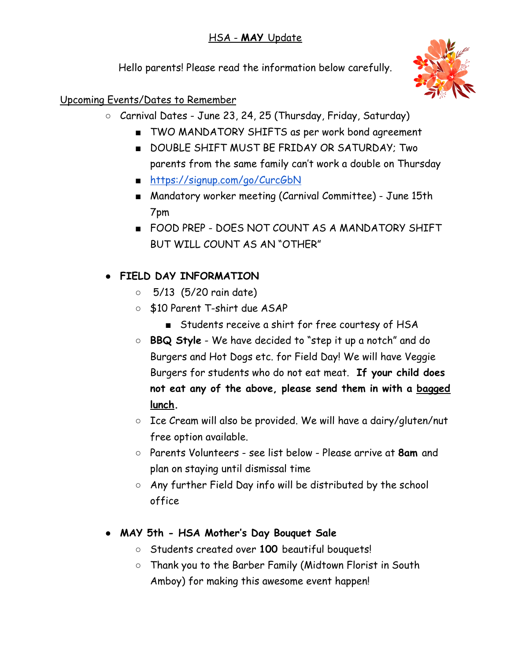### HSA - **MAY** Update

Hello parents! Please read the information below carefully.



Upcoming Events/Dates to Remember

- Carnival Dates June 23, 24, 25 (Thursday, Friday, Saturday)
	- TWO MANDATORY SHIFTS as per work bond agreement
	- DOUBLE SHIFT MUST BE FRIDAY OR SATURDAY; Two parents from the same family can't work a double on Thursday
	- <https://signup.com/go/CurcGbN>
	- Mandatory worker meeting (Carnival Committee) June 15th 7pm
	- FOOD PREP DOES NOT COUNT AS A MANDATORY SHIFT BUT WILL COUNT AS AN "OTHER"

# **● FIELD DAY INFORMATION**

- 5/13 (5/20 rain date)
- \$10 Parent T-shirt due ASAP
	- Students receive a shirt for free courtesy of HSA
- **BBQ Style** We have decided to "step it up a notch" and do Burgers and Hot Dogs etc. for Field Day! We will have Veggie Burgers for students who do not eat meat. **If your child does not eat any of the above, please send them in with a bagged lunch.**
- Ice Cream will also be provided. We will have a dairy/gluten/nut free option available.
- Parents Volunteers see list below Please arrive at **8am** and plan on staying until dismissal time
- Any further Field Day info will be distributed by the school office
- **MAY 5th HSA Mother's Day Bouquet Sale**
	- Students created over **100** beautiful bouquets!
	- Thank you to the Barber Family (Midtown Florist in South Amboy) for making this awesome event happen!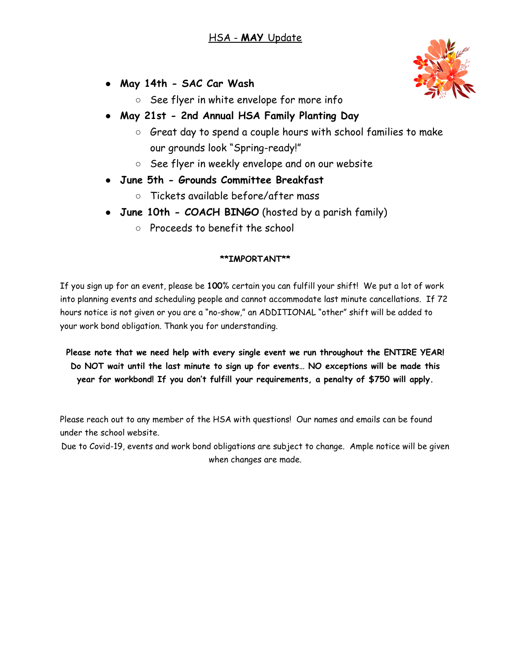- **● May 14th SAC Car Wash**
	- See flyer in white envelope for more info
- **● May 21st 2nd Annual HSA Family Planting Day**
	- Great day to spend a couple hours with school families to make our grounds look "Spring-ready!"
	- See flyer in weekly envelope and on our website
- **● June 5th Grounds Committee Breakfast**
	- Tickets available before/after mass
- **June 10th COACH BINGO** (hosted by a parish family)
	- Proceeds to benefit the school

#### **\*\*IMPORTANT\*\***

If you sign up for an event, please be **100**% certain you can fulfill your shift! We put a lot of work into planning events and scheduling people and cannot accommodate last minute cancellations. If 72 hours notice is not given or you are a "no-show," an ADDITIONAL "other" shift will be added to your work bond obligation. Thank you for understanding.

**Please note that we need help with every single event we run throughout the ENTIRE YEAR! Do NOT wait until the last minute to sign up for events… NO exceptions will be made this year for workbond! If you don't fulfill your requirements, a penalty of \$750 will apply.**

Please reach out to any member of the HSA with questions! Our names and emails can be found under the school website.

Due to Covid-19, events and work bond obligations are subject to change. Ample notice will be given when changes are made.